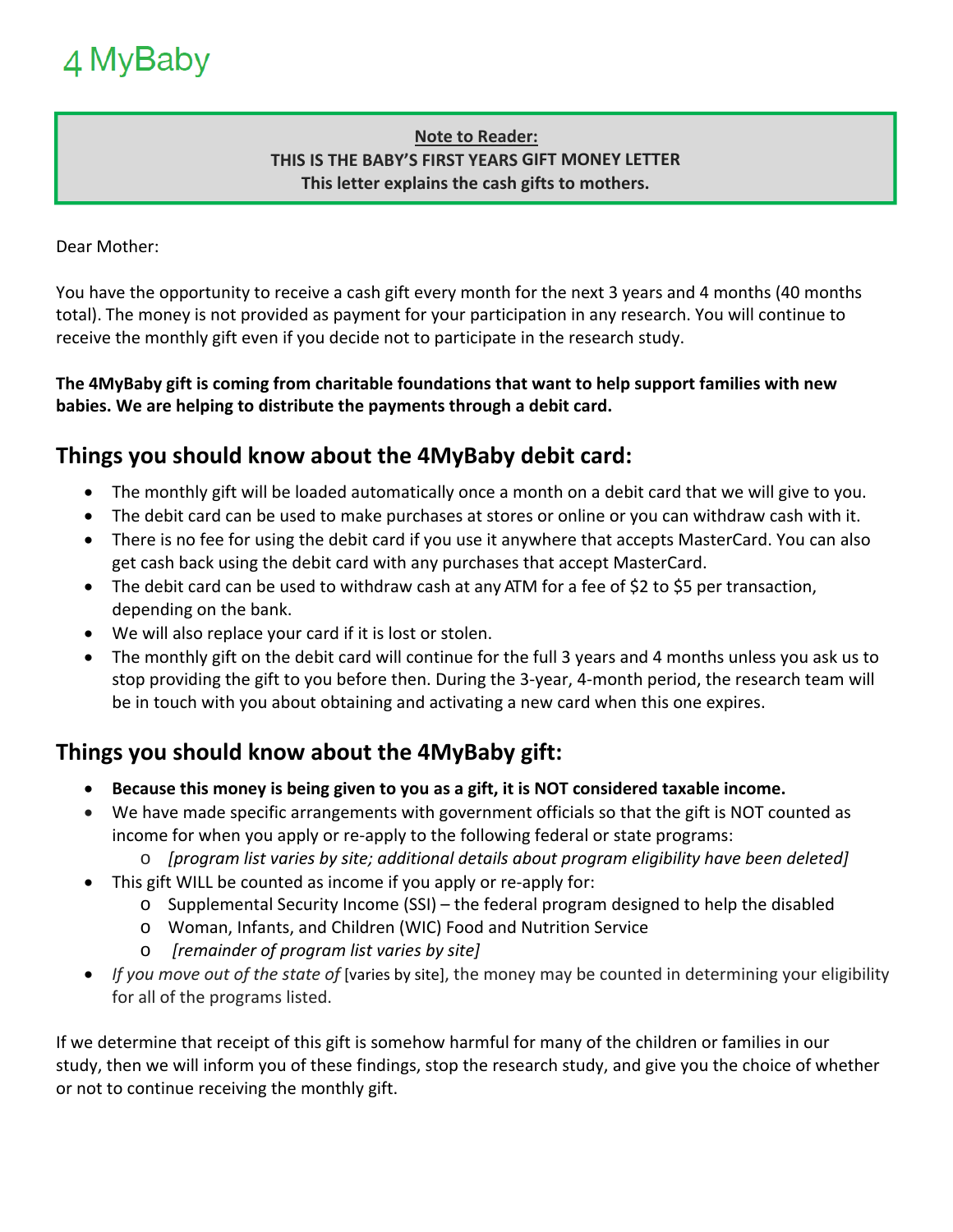#### **Note to Reader: THIS IS THE BABY'S FIRST YEARS GIFT MONEY LETTER This letter explains the cash gifts to mothers.**

Dear Mother:

You have the opportunity to receive a cash gift every month for the next 3 years and 4 months (40 months total). The money is not provided as payment for your participation in any research. You will continue to receive the monthly gift even if you decide not to participate in the research study.

#### **The 4MyBaby gift is coming from charitable foundations that want to help support families with new babies. We are helping to distribute the payments through a debit card.**

## **Things you should know about the 4MyBaby debit card:**

- The monthly gift will be loaded automatically once a month on a debit card that we will give to you.
- The debit card can be used to make purchases at stores or online or you can withdraw cash with it.
- There is no fee for using the debit card if you use it anywhere that accepts MasterCard. You can also get cash back using the debit card with any purchases that accept MasterCard.
- The debit card can be used to withdraw cash at any ATM for a fee of \$2 to \$5 per transaction, depending on the bank.
- We will also replace your card if it is lost or stolen.
- The monthly gift on the debit card will continue for the full 3 years and 4 months unless you ask us to stop providing the gift to you before then. During the 3‐year, 4‐month period, the research team will be in touch with you about obtaining and activating a new card when this one expires.

## **Things you should know about the 4MyBaby gift:**

- **Because this money is being given to you as a gift, it is NOT considered taxable income.**
- We have made specific arrangements with government officials so that the gift is NOT counted as income for when you apply or re‐apply to the following federal or state programs:
	- o *[program list varies by site; additional details about program eligibility have been deleted]*
- This gift WILL be counted as income if you apply or re‐apply for:
	- o Supplemental Security Income (SSI) the federal program designed to help the disabled
	- o Woman, Infants, and Children (WIC) Food and Nutrition Service
	- o  *[remainder of program list varies by site]*
- *If you move out of the state of* [varies by site], the money may be counted in determining your eligibility for all of the programs listed.

If we determine that receipt of this gift is somehow harmful for many of the children or families in our study, then we will inform you of these findings, stop the research study, and give you the choice of whether or not to continue receiving the monthly gift.